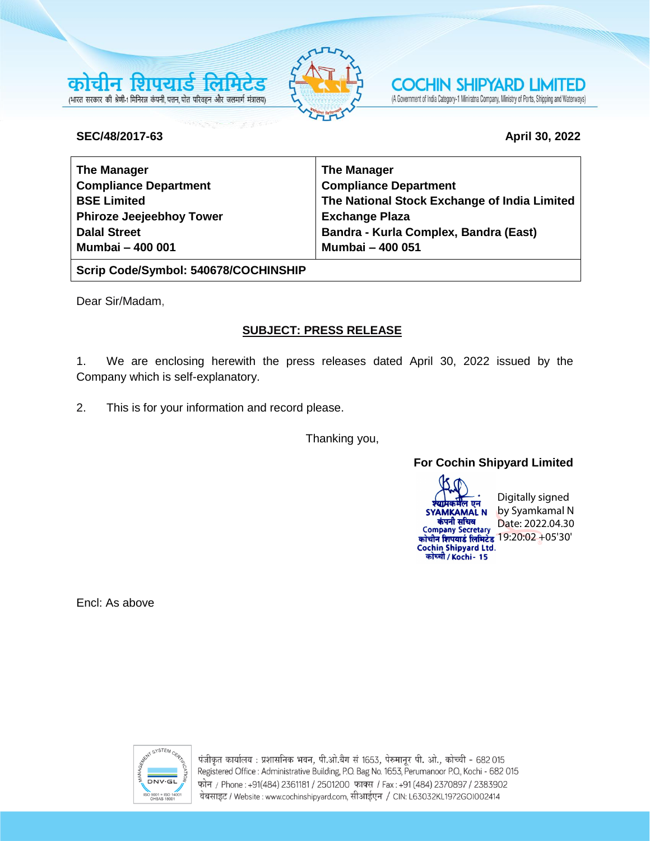



**COCHIN SHIPYARD LIMITED** (A Government of India Category-1 Miniratna Company, Ministry of Ports, Shipping and Waterways)

#### **SEC/48/2017-63 April 30, 2022**

| <b>The Manager</b>              | <b>The Manager</b>                           |
|---------------------------------|----------------------------------------------|
| <b>Compliance Department</b>    | <b>Compliance Department</b>                 |
| <b>BSE Limited</b>              | The National Stock Exchange of India Limited |
| <b>Phiroze Jeejeebhoy Tower</b> | <b>Exchange Plaza</b>                        |
| <b>Dalal Street</b>             | Bandra - Kurla Complex, Bandra (East)        |
| <b>Mumbai - 400 001</b>         | <b>Mumbai - 400 051</b>                      |

**Scrip Code/Symbol: 540678/COCHINSHIP**

Dear Sir/Madam,

# **SUBJECT: PRESS RELEASE**

1. We are enclosing herewith the press releases dated April 30, 2022 issued by the Company which is self-explanatory.

2. This is for your information and record please.

Thanking you,

## **For Cochin Shipyard Limited**

Digitally signed ਕ ਸਰ by Syamkamal N **SYAMKAMAL N** कंपनी सचिव कंपनी सचिव<br>Company Secretary Date: 2022.04.30 <u>कोचीन शिपयार्ड लिमिटेड 19:20:02 +05'30'</u> Cochin Shipyard Ltd.<br>कोच्ची / Kochi- 15

Encl: As above



पंजीकृत कार्यालय : प्रशासनिक भवन, पी.ओ.बैग सं 1653, पेरुमानूर पी. ओ., कोच्ची - 682 015 Registered Office : Administrative Building, P.O. Bag No. 1653, Perumanoor P.O., Kochi - 682 015 फोन / Phone: +91(484) 2361181 / 2501200 फाक्स / Fax: +91 (484) 2370897 / 2383902 वेबसाइट / Website : www.cochinshipyard.com, सीआईएन / CIN: L63032KL1972GOI002414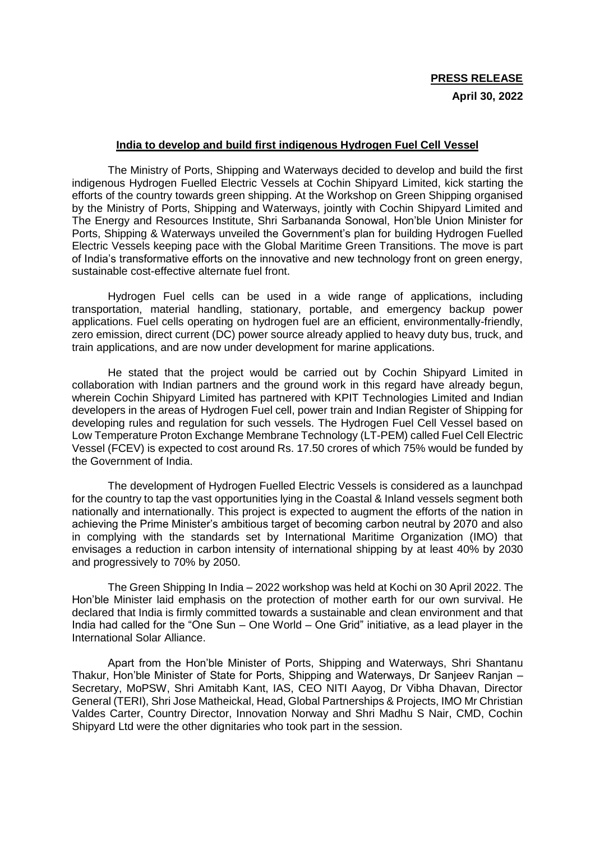#### **India to develop and build first indigenous Hydrogen Fuel Cell Vessel**

The Ministry of Ports, Shipping and Waterways decided to develop and build the first indigenous Hydrogen Fuelled Electric Vessels at Cochin Shipyard Limited, kick starting the efforts of the country towards green shipping. At the Workshop on Green Shipping organised by the Ministry of Ports, Shipping and Waterways, jointly with Cochin Shipyard Limited and The Energy and Resources Institute, Shri Sarbananda Sonowal, Hon'ble Union Minister for Ports, Shipping & Waterways unveiled the Government's plan for building Hydrogen Fuelled Electric Vessels keeping pace with the Global Maritime Green Transitions. The move is part of India's transformative efforts on the innovative and new technology front on green energy, sustainable cost-effective alternate fuel front.

Hydrogen Fuel cells can be used in a wide range of applications, including transportation, material handling, stationary, portable, and emergency backup power applications. Fuel cells operating on hydrogen fuel are an efficient, environmentally-friendly, zero emission, direct current (DC) power source already applied to heavy duty bus, truck, and train applications, and are now under development for marine applications.

He stated that the project would be carried out by Cochin Shipyard Limited in collaboration with Indian partners and the ground work in this regard have already begun, wherein Cochin Shipyard Limited has partnered with KPIT Technologies Limited and Indian developers in the areas of Hydrogen Fuel cell, power train and Indian Register of Shipping for developing rules and regulation for such vessels. The Hydrogen Fuel Cell Vessel based on Low Temperature Proton Exchange Membrane Technology (LT-PEM) called Fuel Cell Electric Vessel (FCEV) is expected to cost around Rs. 17.50 crores of which 75% would be funded by the Government of India.

The development of Hydrogen Fuelled Electric Vessels is considered as a launchpad for the country to tap the vast opportunities lying in the Coastal & Inland vessels segment both nationally and internationally. This project is expected to augment the efforts of the nation in achieving the Prime Minister's ambitious target of becoming carbon neutral by 2070 and also in complying with the standards set by International Maritime Organization (IMO) that envisages a reduction in carbon intensity of international shipping by at least 40% by 2030 and progressively to 70% by 2050.

The Green Shipping In India – 2022 workshop was held at Kochi on 30 April 2022. The Hon'ble Minister laid emphasis on the protection of mother earth for our own survival. He declared that India is firmly committed towards a sustainable and clean environment and that India had called for the "One Sun – One World – One Grid" initiative, as a lead player in the International Solar Alliance.

Apart from the Hon'ble Minister of Ports, Shipping and Waterways, Shri Shantanu Thakur, Hon'ble Minister of State for Ports, Shipping and Waterways, Dr Sanjeev Ranjan – Secretary, MoPSW, Shri Amitabh Kant, IAS, CEO NITI Aayog, Dr Vibha Dhavan, Director General (TERI), Shri Jose Matheickal, Head, Global Partnerships & Projects, IMO Mr Christian Valdes Carter, Country Director, Innovation Norway and Shri Madhu S Nair, CMD, Cochin Shipyard Ltd were the other dignitaries who took part in the session.